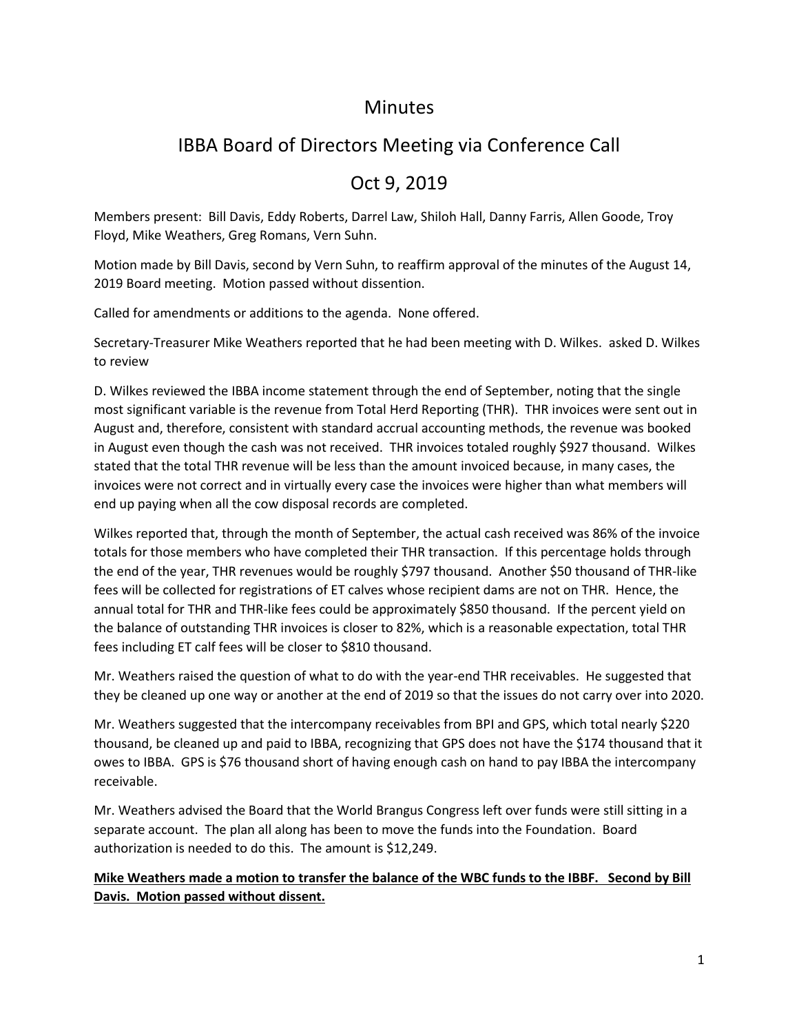## **Minutes**

# IBBA Board of Directors Meeting via Conference Call

## Oct 9, 2019

Members present: Bill Davis, Eddy Roberts, Darrel Law, Shiloh Hall, Danny Farris, Allen Goode, Troy Floyd, Mike Weathers, Greg Romans, Vern Suhn.

Motion made by Bill Davis, second by Vern Suhn, to reaffirm approval of the minutes of the August 14, 2019 Board meeting. Motion passed without dissention.

Called for amendments or additions to the agenda. None offered.

Secretary-Treasurer Mike Weathers reported that he had been meeting with D. Wilkes. asked D. Wilkes to review

D. Wilkes reviewed the IBBA income statement through the end of September, noting that the single most significant variable is the revenue from Total Herd Reporting (THR). THR invoices were sent out in August and, therefore, consistent with standard accrual accounting methods, the revenue was booked in August even though the cash was not received. THR invoices totaled roughly \$927 thousand. Wilkes stated that the total THR revenue will be less than the amount invoiced because, in many cases, the invoices were not correct and in virtually every case the invoices were higher than what members will end up paying when all the cow disposal records are completed.

Wilkes reported that, through the month of September, the actual cash received was 86% of the invoice totals for those members who have completed their THR transaction. If this percentage holds through the end of the year, THR revenues would be roughly \$797 thousand. Another \$50 thousand of THR-like fees will be collected for registrations of ET calves whose recipient dams are not on THR. Hence, the annual total for THR and THR-like fees could be approximately \$850 thousand. If the percent yield on the balance of outstanding THR invoices is closer to 82%, which is a reasonable expectation, total THR fees including ET calf fees will be closer to \$810 thousand.

Mr. Weathers raised the question of what to do with the year-end THR receivables. He suggested that they be cleaned up one way or another at the end of 2019 so that the issues do not carry over into 2020.

Mr. Weathers suggested that the intercompany receivables from BPI and GPS, which total nearly \$220 thousand, be cleaned up and paid to IBBA, recognizing that GPS does not have the \$174 thousand that it owes to IBBA. GPS is \$76 thousand short of having enough cash on hand to pay IBBA the intercompany receivable.

Mr. Weathers advised the Board that the World Brangus Congress left over funds were still sitting in a separate account. The plan all along has been to move the funds into the Foundation. Board authorization is needed to do this. The amount is \$12,249.

#### **Mike Weathers made a motion to transfer the balance of the WBC funds to the IBBF. Second by Bill Davis. Motion passed without dissent.**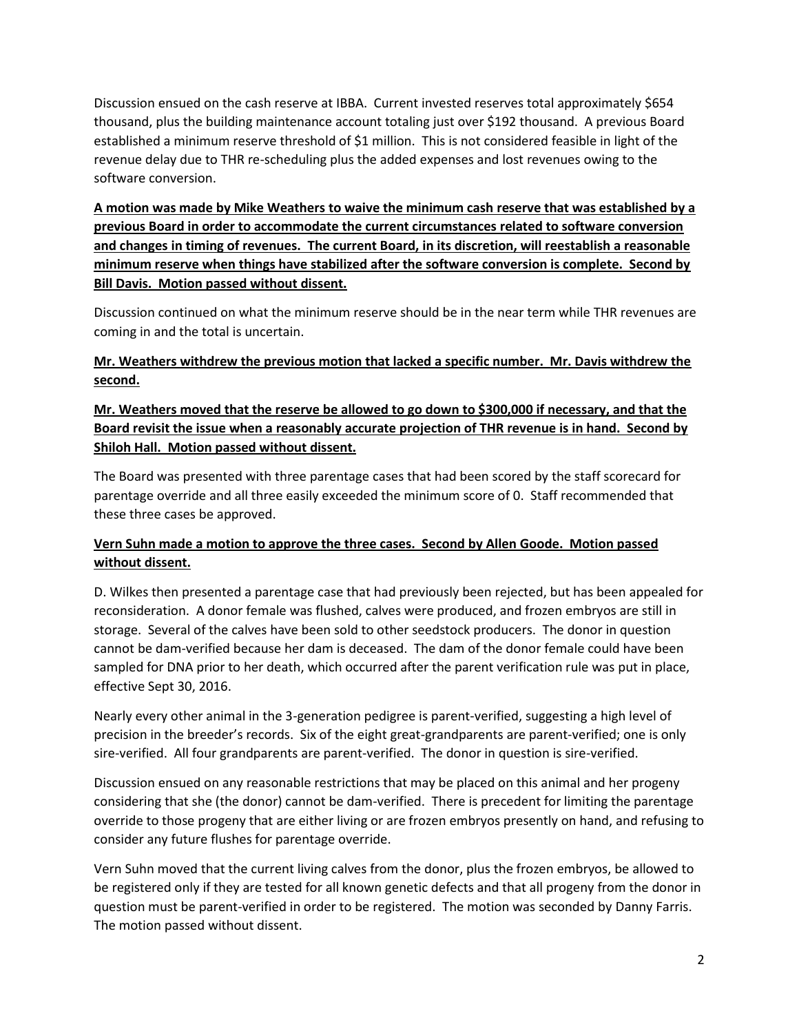Discussion ensued on the cash reserve at IBBA. Current invested reserves total approximately \$654 thousand, plus the building maintenance account totaling just over \$192 thousand. A previous Board established a minimum reserve threshold of \$1 million. This is not considered feasible in light of the revenue delay due to THR re-scheduling plus the added expenses and lost revenues owing to the software conversion.

**A motion was made by Mike Weathers to waive the minimum cash reserve that was established by a previous Board in order to accommodate the current circumstances related to software conversion and changes in timing of revenues. The current Board, in its discretion, will reestablish a reasonable minimum reserve when things have stabilized after the software conversion is complete. Second by Bill Davis. Motion passed without dissent.** 

Discussion continued on what the minimum reserve should be in the near term while THR revenues are coming in and the total is uncertain.

#### **Mr. Weathers withdrew the previous motion that lacked a specific number. Mr. Davis withdrew the second.**

### **Mr. Weathers moved that the reserve be allowed to go down to \$300,000 if necessary, and that the Board revisit the issue when a reasonably accurate projection of THR revenue is in hand. Second by Shiloh Hall. Motion passed without dissent.**

The Board was presented with three parentage cases that had been scored by the staff scorecard for parentage override and all three easily exceeded the minimum score of 0. Staff recommended that these three cases be approved.

## **Vern Suhn made a motion to approve the three cases. Second by Allen Goode. Motion passed without dissent.**

D. Wilkes then presented a parentage case that had previously been rejected, but has been appealed for reconsideration. A donor female was flushed, calves were produced, and frozen embryos are still in storage. Several of the calves have been sold to other seedstock producers. The donor in question cannot be dam-verified because her dam is deceased. The dam of the donor female could have been sampled for DNA prior to her death, which occurred after the parent verification rule was put in place, effective Sept 30, 2016.

Nearly every other animal in the 3-generation pedigree is parent-verified, suggesting a high level of precision in the breeder's records. Six of the eight great-grandparents are parent-verified; one is only sire-verified. All four grandparents are parent-verified. The donor in question is sire-verified.

Discussion ensued on any reasonable restrictions that may be placed on this animal and her progeny considering that she (the donor) cannot be dam-verified. There is precedent for limiting the parentage override to those progeny that are either living or are frozen embryos presently on hand, and refusing to consider any future flushes for parentage override.

Vern Suhn moved that the current living calves from the donor, plus the frozen embryos, be allowed to be registered only if they are tested for all known genetic defects and that all progeny from the donor in question must be parent-verified in order to be registered. The motion was seconded by Danny Farris. The motion passed without dissent.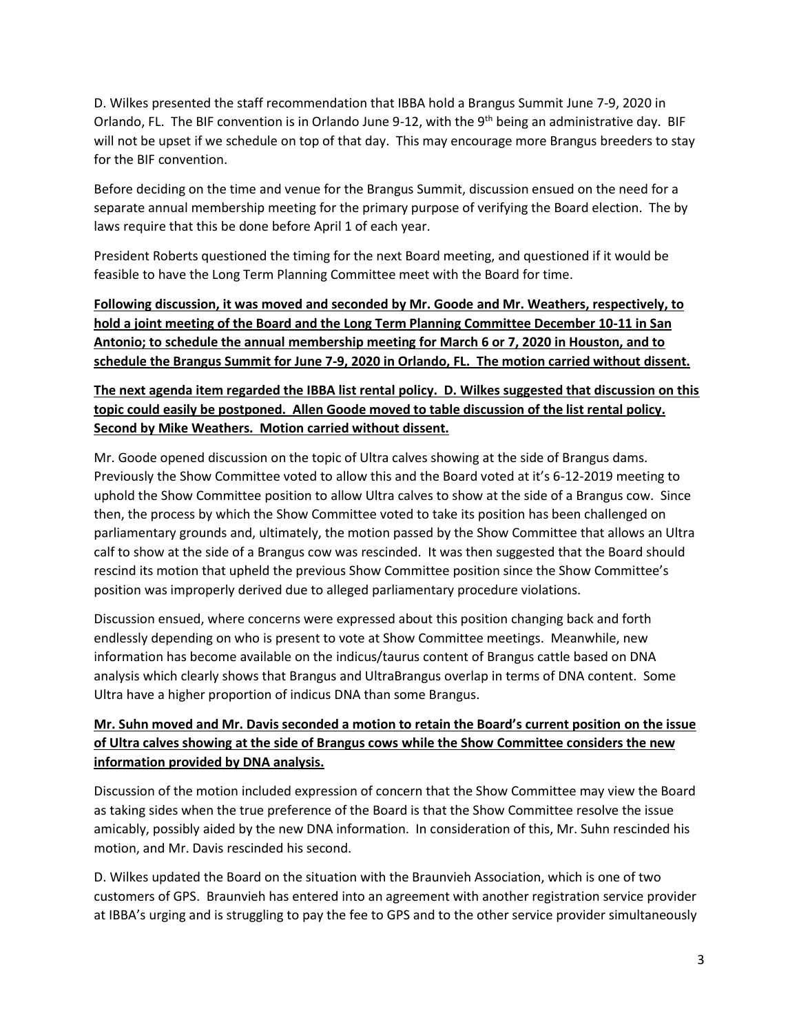D. Wilkes presented the staff recommendation that IBBA hold a Brangus Summit June 7-9, 2020 in Orlando, FL. The BIF convention is in Orlando June 9-12, with the 9<sup>th</sup> being an administrative day. BIF will not be upset if we schedule on top of that day. This may encourage more Brangus breeders to stay for the BIF convention.

Before deciding on the time and venue for the Brangus Summit, discussion ensued on the need for a separate annual membership meeting for the primary purpose of verifying the Board election. The by laws require that this be done before April 1 of each year.

President Roberts questioned the timing for the next Board meeting, and questioned if it would be feasible to have the Long Term Planning Committee meet with the Board for time.

**Following discussion, it was moved and seconded by Mr. Goode and Mr. Weathers, respectively, to hold a joint meeting of the Board and the Long Term Planning Committee December 10-11 in San Antonio; to schedule the annual membership meeting for March 6 or 7, 2020 in Houston, and to schedule the Brangus Summit for June 7-9, 2020 in Orlando, FL. The motion carried without dissent.** 

## **The next agenda item regarded the IBBA list rental policy. D. Wilkes suggested that discussion on this topic could easily be postponed. Allen Goode moved to table discussion of the list rental policy. Second by Mike Weathers. Motion carried without dissent.**

Mr. Goode opened discussion on the topic of Ultra calves showing at the side of Brangus dams. Previously the Show Committee voted to allow this and the Board voted at it's 6-12-2019 meeting to uphold the Show Committee position to allow Ultra calves to show at the side of a Brangus cow. Since then, the process by which the Show Committee voted to take its position has been challenged on parliamentary grounds and, ultimately, the motion passed by the Show Committee that allows an Ultra calf to show at the side of a Brangus cow was rescinded. It was then suggested that the Board should rescind its motion that upheld the previous Show Committee position since the Show Committee's position was improperly derived due to alleged parliamentary procedure violations.

Discussion ensued, where concerns were expressed about this position changing back and forth endlessly depending on who is present to vote at Show Committee meetings. Meanwhile, new information has become available on the indicus/taurus content of Brangus cattle based on DNA analysis which clearly shows that Brangus and UltraBrangus overlap in terms of DNA content. Some Ultra have a higher proportion of indicus DNA than some Brangus.

## **Mr. Suhn moved and Mr. Davis seconded a motion to retain the Board's current position on the issue of Ultra calves showing at the side of Brangus cows while the Show Committee considers the new information provided by DNA analysis.**

Discussion of the motion included expression of concern that the Show Committee may view the Board as taking sides when the true preference of the Board is that the Show Committee resolve the issue amicably, possibly aided by the new DNA information. In consideration of this, Mr. Suhn rescinded his motion, and Mr. Davis rescinded his second.

D. Wilkes updated the Board on the situation with the Braunvieh Association, which is one of two customers of GPS. Braunvieh has entered into an agreement with another registration service provider at IBBA's urging and is struggling to pay the fee to GPS and to the other service provider simultaneously